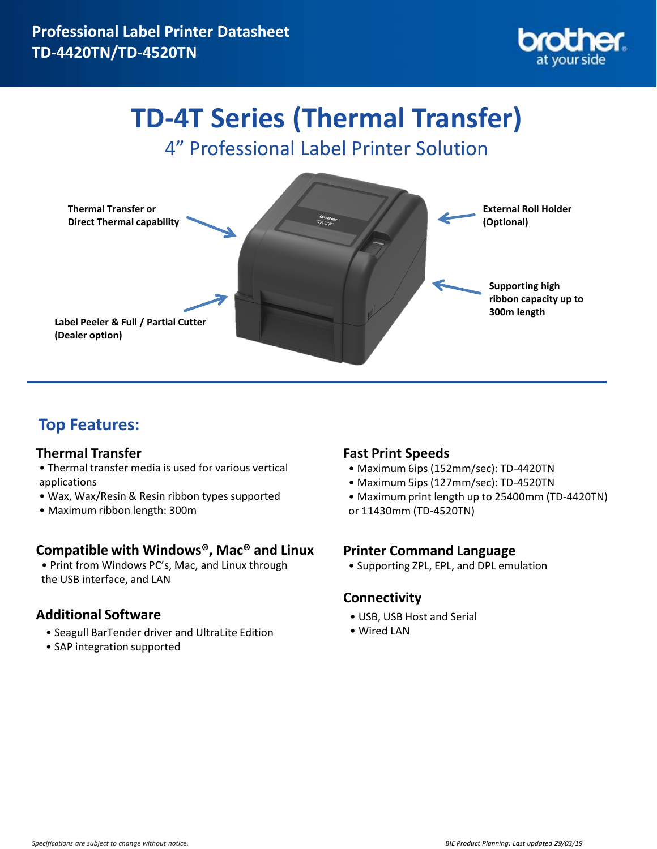

# **TD-4T Series (Thermal Transfer)**

4" Professional Label Printer Solution



### **Top Features:**

#### **Thermal Transfer**

- Thermal transfer media is used for various vertical applications
- Wax, Wax/Resin & Resin ribbon types supported
- Maximum ribbon length: 300m

#### **Compatible with Windows®, Mac® and Linux**

• Print from Windows PC's, Mac, and Linux through the USB interface, and LAN

#### **Additional Software**

- Seagull BarTender driver and UltraLite Edition
- SAP integration supported

#### **Fast Print Speeds**

- Maximum 6ips (152mm/sec): TD-4420TN
- Maximum 5ips (127mm/sec): TD-4520TN
- Maximum print length up to 25400mm (TD-4420TN)
- or 11430mm (TD-4520TN)

#### **Printer Command Language**

• Supporting ZPL, EPL, and DPL emulation

#### **Connectivity**

- USB, USB Host and Serial
- Wired LAN